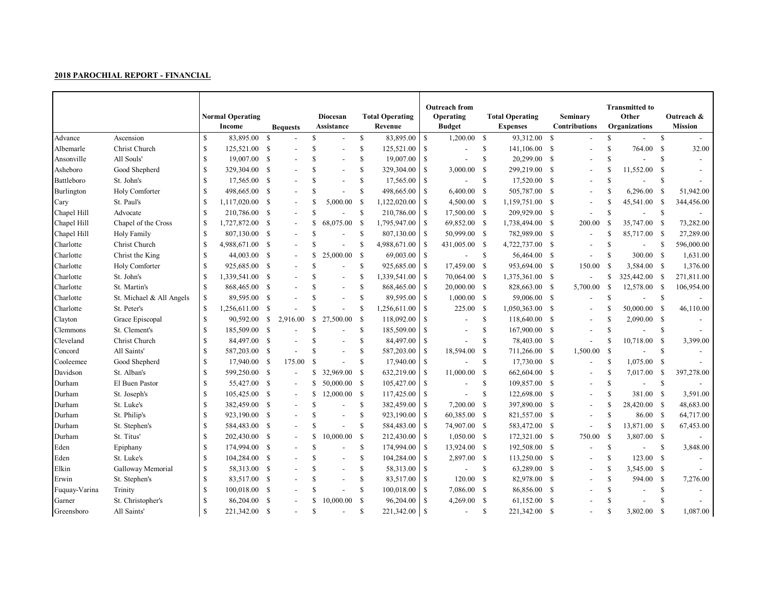|               |                          |               | <b>Normal Operating</b><br>Income<br><b>Bequests</b> |              | Diocesan<br>Assistance |               |                          | <b>Total Operating</b><br>Revenue |              | <b>Outreach from</b><br>Operating<br><b>Budget</b> |                          | <b>Total Operating</b><br><b>Expenses</b> |                 | Seminary<br><b>Contributions</b> |                          | <b>Transmitted to</b><br>Other<br>Organizations |                          | Outreach &<br><b>Mission</b> |            |
|---------------|--------------------------|---------------|------------------------------------------------------|--------------|------------------------|---------------|--------------------------|-----------------------------------|--------------|----------------------------------------------------|--------------------------|-------------------------------------------|-----------------|----------------------------------|--------------------------|-------------------------------------------------|--------------------------|------------------------------|------------|
| Advance       | Ascension                | <sup>S</sup>  | 83,895.00 \$                                         |              |                        | <sup>\$</sup> |                          | $\mathbb{S}$                      | 83,895.00    | <sup>\$</sup>                                      | 1,200.00                 | - \$                                      | 93,312.00 \$    |                                  |                          | \$                                              |                          | S                            |            |
| Albemarle     | Christ Church            | <sup>S</sup>  | 125,521.00 \$                                        |              |                        | <b>S</b>      | $\overline{\phantom{a}}$ | $\mathbb{S}$                      | 125,521.00   | \$                                                 |                          | \$                                        | 141,106.00      | -S                               |                          | \$.                                             | 764.00                   | - S                          | 32.00      |
| Ansonville    | All Souls'               | -S            | 19,007.00 \$                                         |              |                        | <sup>\$</sup> | $\overline{a}$           | <sup>\$</sup>                     | 19,007.00    | <sup>\$</sup>                                      |                          | $\mathbb{S}$                              | 20,299.00       | - S                              |                          | <sup>\$</sup>                                   |                          | S                            |            |
| Asheboro      | Good Shepherd            | -S            | 329,304.00 \$                                        |              |                        | <sup>S</sup>  | $\overline{a}$           | \$                                | 329,304.00   | S                                                  | 3,000.00                 | -S                                        | 299,219.00      | S.                               | $\overline{\phantom{a}}$ | <sup>\$</sup>                                   | 11,552.00                | -S                           |            |
| Battleboro    | St. John's               | -S            | 17,565.00                                            | - \$         |                        | <sup>\$</sup> | $\overline{a}$           | $\mathbb{S}$                      | 17,565.00    | S                                                  | $\overline{a}$           | \$                                        | 17,520.00       | - S                              | $\overline{a}$           | $\mathbf S$                                     | $\overline{a}$           | \$                           |            |
| Burlington    | Holy Comforter           | <sup>\$</sup> | 498,665.00                                           | - \$         |                        | <sup>\$</sup> | $\overline{a}$           | \$                                | 498,665.00   | S                                                  | $6,400.00$ \$            |                                           | 505,787.00      | - S                              | $\blacksquare$           | <sup>\$</sup>                                   | 6,296.00                 | -S                           | 51,942.00  |
| Cary          | St. Paul's               | <sup>S</sup>  | 1,117,020.00 \$                                      |              |                        | <sup>\$</sup> | 5,000.00                 | <sup>\$</sup>                     | 1,122,020.00 | <sup>S</sup>                                       | 4,500.00 \$              |                                           | 1,159,751.00    | - S                              |                          | <sup>S</sup>                                    | 45,541.00                | -S                           | 344,456.00 |
| Chapel Hill   | Advocate                 | -S            | 210,786.00 \$                                        |              |                        | <b>S</b>      | $\overline{\phantom{a}}$ | <sup>\$</sup>                     | 210,786.00   | <sup>\$</sup>                                      | 17,500.00 \$             |                                           | 209,929.00      | -S                               | $\overline{a}$           | <sup>\$</sup>                                   | $\overline{a}$           | -S                           |            |
| Chapel Hill   | Chapel of the Cross      | <sup>\$</sup> | 1,727,872.00 \$                                      |              |                        |               | 68,075.00                | <sup>S</sup>                      | 1,795,947.00 | <b>S</b>                                           | 69,852.00 \$             |                                           | 1,738,494.00 \$ |                                  | 200.00                   | -S                                              | 35,747.00                | - S                          | 73,282.00  |
| Chapel Hill   | Holy Family              | -S            | 807,130.00 \$                                        |              |                        | <sup>\$</sup> | $\overline{a}$           | <sup>\$</sup>                     | 807,130.00   | -S                                                 | 50,999.00 \$             |                                           | 782,989.00 \$   |                                  | $\overline{\phantom{a}}$ | <sup>\$</sup>                                   | 85,717.00 \$             |                              | 27,289.00  |
| Charlotte     | Christ Church            | -S            | 4,988,671.00 \$                                      |              |                        | <b>S</b>      |                          | \$                                | 4,988,671.00 | <sup>\$</sup>                                      | 431,005.00 \$            |                                           | 4,722,737.00 \$ |                                  |                          | <sup>S</sup>                                    | $\overline{\phantom{a}}$ | -S                           | 596,000.00 |
| Charlotte     | Christ the King          |               | 44,003.00 \$                                         |              |                        | \$            | 25,000.00                | $\mathbb{S}$                      | 69,003.00    | <sup>\$</sup>                                      |                          | $\mathbb{S}$                              | 56,464.00       | - S                              | $\overline{\phantom{a}}$ | <sup>\$</sup>                                   | 300.00 \$                |                              | 1,631.00   |
| Charlotte     | Holy Comforter           | -S            | 925,685.00                                           | <b>S</b>     |                        | $\mathbf S$   | $\overline{a}$           | \$                                | 925,685.00   | <sup>\$</sup>                                      | 17,459.00 \$             |                                           | 953,694.00 \$   |                                  | 150.00                   | -S                                              | 3,584.00 \$              |                              | 1,376.00   |
| Charlotte     | St. John's               | <sup>S</sup>  | 1,339,541.00                                         | - \$         |                        | <sup>\$</sup> | $\overline{\phantom{a}}$ | S                                 | 1,339,541.00 | -S                                                 | 70,064.00                | - S                                       | 1,375,361.00 \$ |                                  | $\overline{\phantom{a}}$ | \$                                              | 325,442.00               | - \$                         | 271,811.00 |
| Charlotte     | St. Martin's             | $\mathcal{S}$ | 868,465.00 \$                                        |              |                        | \$.           | $\overline{a}$           | S.                                | 868,465.00   | -S                                                 | 20,000.00 \$             |                                           | 828,663.00 \$   |                                  | 5,700.00                 | <b>S</b>                                        | 12,578.00                | - \$                         | 106,954.00 |
| Charlotte     | St. Michael & All Angels | <sup>\$</sup> | 89,595.00 \$                                         |              |                        | \$.           | $\overline{\phantom{a}}$ | S                                 | 89,595.00    | <b>S</b>                                           | $1,000.00$ \$            |                                           | 59,006.00 \$    |                                  |                          | \$                                              | $\overline{\phantom{a}}$ | <sup>\$</sup>                |            |
| Charlotte     | St. Peter's              | <sup>\$</sup> | 1,256,611.00 \$                                      |              |                        | $\mathbf S$   |                          | \$                                | 1,256,611.00 | S                                                  | 225.00                   | $\mathbb{S}$                              | 1,050,363.00 \$ |                                  | $\blacksquare$           |                                                 | 50,000.00                | -S                           | 46,110.00  |
| Clayton       | Grace Episcopal          | S             | 90,592.00                                            | $\mathbb{S}$ | 2,916.00               | <sup>S</sup>  | 27,500.00                | <sup>S</sup>                      | 118,092.00   | S                                                  |                          | $\mathbb{S}$                              | 118,640.00 \$   |                                  |                          | <sup>\$</sup>                                   | $2,090.00$ \$            |                              |            |
| Clemmons      | St. Clement's            | -S            | 185,509.00 \$                                        |              |                        | <sup>\$</sup> |                          | S.                                | 185,509.00   | \$                                                 |                          | $\mathbb{S}$                              | 167,900.00      | - S                              |                          | <sup>S</sup>                                    |                          | <sup>\$</sup>                |            |
| Cleveland     | Christ Church            |               | 84,497.00 \$                                         |              |                        | <sup>\$</sup> | $\overline{a}$           | S.                                | 84,497.00    | S                                                  |                          | <sup>\$</sup>                             | 78,403.00       | - S                              | $\overline{\phantom{a}}$ | <sup>\$</sup>                                   | 10,718.00                | - S                          | 3,399.00   |
| Concord       | All Saints'              | <sup>S</sup>  | 587,203.00 \$                                        |              |                        | <sup>S</sup>  | $\overline{\phantom{a}}$ | \$                                | 587,203.00   | <sup>\$</sup>                                      | 18,594.00                | - S                                       | 711,266.00 \$   |                                  | 1,500.00                 | -S                                              | $\blacksquare$           | <sup>\$</sup>                |            |
| Cooleemee     | Good Shepherd            | <sup>\$</sup> | 17,940.00 \$                                         |              | 175.00                 | <sup>\$</sup> | $\overline{a}$           | $\mathbb{S}$                      | 17,940.00    | <sup>\$</sup>                                      |                          | $\mathbb{S}$                              | 17,730.00 \$    |                                  | $\overline{\phantom{a}}$ | <sup>S</sup>                                    | 1,075.00                 | -S                           |            |
| Davidson      | St. Alban's              | -S            | 599,250.00 \$                                        |              |                        | S             | 32,969.00                | <sup>S</sup>                      | 632,219.00   | <sup>\$</sup>                                      | 11,000.00                | -S                                        | 662,604.00      | - \$                             |                          | <b>S</b>                                        | 7,017.00                 | -S                           | 397,278.00 |
| Durham        | El Buen Pastor           | <sup>\$</sup> | 55,427.00 \$                                         |              |                        | S             | 50,000.00                | - \$                              | 105,427.00   | <b>S</b>                                           | $\overline{a}$           | \$                                        | 109,857.00 \$   |                                  | $\overline{\phantom{a}}$ | <sup>S</sup>                                    | $\blacksquare$           | $\mathbb{S}$                 |            |
| Durham        | St. Joseph's             | -S            | 105,425.00 \$                                        |              |                        | S             | 12,000.00                | - \$                              | 117,425.00   | S                                                  |                          | \$                                        | 122,698.00 \$   |                                  | $\overline{\phantom{a}}$ | \$.                                             | 381.00 \$                |                              | 3,591.00   |
| Durham        | St. Luke's               | S             | 382,459.00 \$                                        |              |                        | <sup>\$</sup> | $\overline{a}$           | \$                                | 382,459.00   | -S                                                 | 7,200.00                 | -S                                        | 397,890.00      | - S                              | $\overline{\phantom{a}}$ | <sup>S</sup>                                    | 28,420.00 \$             |                              | 48,683.00  |
| Durham        | St. Philip's             | -S            | 923,190.00 \$                                        |              |                        | \$.           | $\overline{a}$           | $\mathbb{S}$                      | 923,190.00   | <sup>\$</sup>                                      | 60,385.00 \$             |                                           | 821,557.00      | -S                               | $\sim$                   | <sup>S</sup>                                    | 86.00 \$                 |                              | 64,717.00  |
| Durham        | St. Stephen's            |               | 584,483.00 \$                                        |              |                        | <sup>\$</sup> | $\overline{a}$           | $\mathbb{S}$                      | 584,483.00   | -S                                                 | 74,907.00 \$             |                                           | 583,472.00      | - S                              | $\overline{\phantom{a}}$ | S                                               | 13,871.00 \$             |                              | 67,453.00  |
| Durham        | St. Titus'               |               | 202,430.00                                           | - \$         |                        | \$.           | 10,000.00                | <sup>\$</sup>                     | 212,430.00   | \$                                                 | $1,050.00$ \$            |                                           | 172,321.00 \$   |                                  | 750.00                   | <sup>\$</sup>                                   | 3,807.00 \$              |                              |            |
| Eden          | Epiphany                 | -S            | 174,994.00 \$                                        |              |                        | <sup>\$</sup> | $\blacksquare$           | \$                                | 174,994.00   | -S                                                 | 13,924.00 \$             |                                           | 192,508.00 \$   |                                  | $\overline{\phantom{a}}$ | <sup>\$</sup>                                   | $\overline{\phantom{a}}$ | <sup>\$</sup>                | 3,848.00   |
| Eden          | St. Luke's               | <sup>\$</sup> | 104,284.00 \$                                        |              |                        | <sup>S</sup>  | $\blacksquare$           | \$                                | 104,284.00   | <sup>\$</sup>                                      | 2,897.00 \$              |                                           | 113,250.00      | -S                               |                          | <sup>S</sup>                                    | 123.00                   | $\mathbf s$                  |            |
| Elkin         | Galloway Memorial        | <sup>\$</sup> | 58,313.00 \$                                         |              |                        | \$.           | $\overline{a}$           | \$                                | 58,313.00    | <b>S</b>                                           | $\overline{a}$           | \$                                        | 63,289.00 \$    |                                  | $\overline{\phantom{a}}$ | <sup>\$</sup>                                   | 3,545.00 \$              |                              |            |
| Erwin         | St. Stephen's            | <sup>\$</sup> | 83,517.00 \$                                         |              |                        | \$.           | $\overline{\phantom{a}}$ | S.                                | 83,517.00    | <sup>\$</sup>                                      | 120.00                   | - S                                       | 82,978.00 \$    |                                  |                          | <sup>\$</sup>                                   | 594.00                   | - S                          | 7,276.00   |
| Fuquay-Varina | Trinity                  | \$            | $100,018.00$ \$                                      |              |                        | <sup>\$</sup> |                          | \$                                | 100,018.00   | S                                                  | 7,086.00 \$              |                                           | 86,856.00       | -S                               |                          | \$                                              |                          | S                            |            |
| Garner        | St. Christopher's        | -S            | 86,204.00                                            | - S          |                        | \$.           | 10,000.00                | <sup>S</sup>                      | 96,204.00    | S                                                  | 4,269.00                 | $\mathbb{S}$                              | 61,152.00       | S                                |                          | <b>S</b>                                        |                          | <b>S</b>                     |            |
| Greensboro    | All Saints'              | <sup>\$</sup> | 221,342.00                                           | -S           |                        | <sup>\$</sup> |                          | S                                 | 221,342.00   | <sup>S</sup>                                       | $\overline{\phantom{a}}$ | <sup>\$</sup>                             | 221,342.00      | -S                               |                          | \$.                                             | 3,802.00                 | -S                           | 1,087.00   |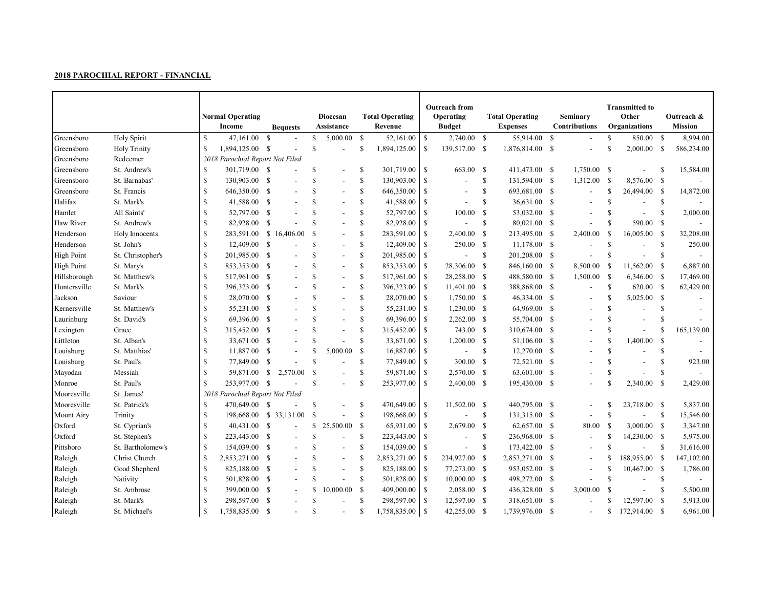|                   |                     |               | <b>Normal Operating</b><br>Income |              | <b>Bequests</b> |               | Diocesan<br>Assistance   |               | <b>Total Operating</b><br>Revenue |               | <b>Outreach from</b><br>Operating<br><b>Budget</b> |               | <b>Total Operating</b><br><b>Expenses</b> |     | Seminary<br><b>Contributions</b> |               | <b>Transmitted to</b><br>Other<br>Organizations |               | Outreach &<br><b>Mission</b> |
|-------------------|---------------------|---------------|-----------------------------------|--------------|-----------------|---------------|--------------------------|---------------|-----------------------------------|---------------|----------------------------------------------------|---------------|-------------------------------------------|-----|----------------------------------|---------------|-------------------------------------------------|---------------|------------------------------|
| Greensboro        | Holy Spirit         | <b>S</b>      | 47,161.00                         | -S           |                 | S             | 5,000.00                 | <sup>S</sup>  | 52,161.00                         | $\mathbb{S}$  | 2,740.00 \$                                        |               | 55,914.00                                 | -S  |                                  | $\mathbf S$   | 850.00                                          | -S            | 8,994.00                     |
| Greensboro        | <b>Holy Trinity</b> | <sup>\$</sup> | 1,894,125.00 \$                   |              |                 | $\mathbf S$   |                          | \$            | 1,894,125.00                      | S             | 139,517.00 \$                                      |               | 1,876,814.00 \$                           |     | $\overline{\phantom{a}}$         | \$.           | 2,000.00                                        | - S           | 586,234.00                   |
| Greensboro        | Redeemer            |               | 2018 Parochial Report Not Filed   |              |                 |               |                          |               |                                   |               |                                                    |               |                                           |     |                                  |               |                                                 |               |                              |
| Greensboro        | St. Andrew's        | <sup>\$</sup> | 301,719.00 \$                     |              |                 | <sup>S</sup>  | $\overline{a}$           | \$            | 301,719.00                        | <b>S</b>      | 663.00                                             | -S            | 411,473.00 \$                             |     | 1,750.00                         | - \$          |                                                 | <sup>\$</sup> | 15,584.00                    |
| Greensboro        | St. Barnabas'       | -S            | 130,903.00 \$                     |              |                 | S             | $\overline{\phantom{a}}$ | $\mathbb{S}$  | 130,903.00                        | S             |                                                    | \$            | 131,594.00 \$                             |     | 1,312.00                         | - \$          | 8,576.00                                        | - \$          |                              |
| Greensboro        | St. Francis         | <sup>S</sup>  | 646,350.00                        | <b>S</b>     |                 | \$.           | $\overline{a}$           | \$            | 646,350.00                        | \$            |                                                    | $\mathbb{S}$  | 693,681.00 \$                             |     | $\blacksquare$                   | <sup>S</sup>  | 26,494.00                                       | - \$          | 14,872.00                    |
| Halifax           | St. Mark's          |               | 41,588.00 \$                      |              |                 | <sup>\$</sup> | $\overline{\phantom{a}}$ | \$            | 41,588.00                         | S             |                                                    | $\mathbb{S}$  | 36,631.00 \$                              |     |                                  | <sup>\$</sup> |                                                 | \$            |                              |
| Hamlet            | All Saints'         | <sup>\$</sup> | 52,797.00 \$                      |              |                 | <sup>\$</sup> | $\overline{a}$           | \$            | 52,797.00                         | <sup>\$</sup> | 100.00                                             | <sup>\$</sup> | 53,032.00 \$                              |     |                                  | \$            | $\blacksquare$                                  | S             | 2,000.00                     |
| Haw River         | St. Andrew's        |               | 82,928.00 \$                      |              |                 | \$.           | $\overline{\phantom{a}}$ | S.            | 82,928.00                         | S             |                                                    | <sup>\$</sup> | 80,021.00 \$                              |     |                                  | \$            | 590.00                                          | -S            |                              |
| Henderson         | Holy Innocents      | -S            | 283,591.00 \$ 16,406.00           |              |                 | <sup>\$</sup> | $\overline{\phantom{a}}$ | \$            | 283,591.00                        | \$            | 2,400.00                                           | - S           | 213,495.00 \$                             |     | 2,400.00                         | - \$          | 16,005.00                                       | - S           | 32,208.00                    |
| Henderson         | St. John's          | -S            | 12,409.00 \$                      |              |                 | <b>S</b>      | $\overline{\phantom{a}}$ | S.            | 12,409.00                         | <sup>\$</sup> | 250.00                                             | - \$          | 11,178.00 \$                              |     |                                  | \$            |                                                 | -S            | 250.00                       |
| <b>High Point</b> | St. Christopher's   | -S            | 201,985.00 \$                     |              |                 | <sup>S</sup>  | $\overline{\phantom{0}}$ | $\mathbb{S}$  | 201,985.00                        | <sup>\$</sup> |                                                    | <sup>\$</sup> | 201,208.00 \$                             |     |                                  | <sup>S</sup>  | $\overline{a}$                                  | \$            |                              |
| <b>High Point</b> | St. Mary's          | -S            | 853,353.00 \$                     |              |                 | <sup>\$</sup> | $\overline{a}$           | \$            | 853,353.00                        | <sup>\$</sup> | 28,306.00                                          | - S           | 846,160.00 \$                             |     | 8,500.00                         | -S            | 11,562.00                                       | - S           | 6,887.00                     |
| Hillsborough      | St. Matthew's       | <sup>S</sup>  | 517,961.00                        | - \$         |                 | \$.           | $\overline{\phantom{a}}$ | \$            | 517,961.00                        | <sup>\$</sup> | 28,258.00 \$                                       |               | 488,580.00 \$                             |     | 1,500.00                         | -S            | $6,346.00$ \$                                   |               | 17,469.00                    |
| Huntersville      | St. Mark's          | <sup>\$</sup> | 396,323.00 \$                     |              |                 | <sup>\$</sup> | $\overline{a}$           | \$            | 396,323.00                        | <sup>\$</sup> | 11,401.00 \$                                       |               | 388,868.00 \$                             |     | $\sim$                           | $\mathbb{S}$  | 620.00 \$                                       |               | 62,429.00                    |
| Jackson           | Saviour             | <sup>\$</sup> | 28,070.00 \$                      |              |                 | <sup>S</sup>  | $\overline{\phantom{a}}$ | S             | 28,070.00                         | <sup>\$</sup> | $1,750.00$ \$                                      |               | 46,334.00 \$                              |     |                                  | S             | 5,025.00                                        | - \$          |                              |
| Kernersville      | St. Matthew's       |               | 55,231.00 \$                      |              |                 | \$.           | $\overline{a}$           | \$            | 55,231.00                         | \$            | $1,230.00$ \$                                      |               | 64,969.00 \$                              |     |                                  | <b>S</b>      |                                                 | \$.           |                              |
| Laurinburg        | St. David's         | -S            | 69,396.00 \$                      |              |                 | <sup>\$</sup> | $\overline{\phantom{a}}$ | \$            | 69,396.00                         | S             | $2,262.00$ \$                                      |               | 55,704.00 \$                              |     |                                  | \$.           |                                                 | S             |                              |
| Lexington         | Grace               | <sup>S</sup>  | 315,452.00 \$                     |              |                 | <sup>\$</sup> | $\overline{a}$           | \$            | 315,452.00                        | S             | 743.00 \$                                          |               | 310,674.00                                | -S  |                                  | \$            |                                                 | S             | 165,139.00                   |
| Littleton         | St. Alban's         | -S            | 33,671.00 \$                      |              |                 | \$.           |                          | $\mathbb{S}$  | 33,671.00                         | S             | 1,200.00                                           | - S           | 51,106.00                                 | S   |                                  | \$.           | 1,400.00                                        | -S            |                              |
| Louisburg         | St. Matthias'       | <sup>S</sup>  | 11,887.00                         | -S           |                 | <sup>S</sup>  | 5,000.00                 | $\mathcal{S}$ | 16,887.00                         | -S            | $\blacksquare$                                     | \$            | 12,270.00                                 | -S  |                                  | \$            | $\overline{a}$                                  | \$            |                              |
| Louisburg         | St. Paul's          |               | 77,849.00                         | - \$         |                 | $\mathbf S$   | $\overline{\phantom{a}}$ | S.            | 77,849.00                         | S             | 300.00                                             | - S           | 72,521.00 \$                              |     |                                  | \$.           | $\overline{a}$                                  | <b>S</b>      | 923.00                       |
| Mayodan           | Messiah             | <sup>\$</sup> | 59,871.00                         | $\mathbf{s}$ | 2,570.00        | <sup>\$</sup> | $\overline{\phantom{a}}$ | \$            | 59,871.00                         | <sup>\$</sup> | 2,570.00 \$                                        |               | 63,601.00 \$                              |     |                                  | <sup>S</sup>  |                                                 | \$            |                              |
| Monroe            | St. Paul's          | $\mathcal{S}$ | 253,977.00 \$                     |              |                 | <sup>\$</sup> | $\overline{a}$           | S.            | 253,977.00                        | -S            | $2,400.00$ \$                                      |               | 195,430.00 \$                             |     |                                  |               | 2,340.00                                        | - S           | 2,429.00                     |
| Mooresville       | St. James'          |               | 2018 Parochial Report Not Filed   |              |                 |               |                          |               |                                   |               |                                                    |               |                                           |     |                                  |               |                                                 |               |                              |
| Mooresville       | St. Patrick's       | -S            | 470,649.00 \$                     |              |                 | <sup>\$</sup> | $\overline{a}$           | \$            | 470,649.00                        | -S            | 11,502.00 \$                                       |               | 440,795.00 \$                             |     | $\blacksquare$                   | S             | 23,718.00 \$                                    |               | 5,837.00                     |
| Mount Airy        | Trinity             | -S            | 198,668.00 \$ 33,131.00           |              |                 | <sup>\$</sup> |                          | \$            | 198,668.00                        | $\mathbb{S}$  |                                                    | \$            | 131,315.00 \$                             |     |                                  | <sup>S</sup>  | $\overline{a}$                                  | -S            | 15,546.00                    |
| Oxford            | St. Cyprian's       | -S            | 40,431.00 \$                      |              |                 | S             | 25,500.00                | <sup>\$</sup> | 65,931.00                         | <b>S</b>      | 2,679.00                                           | $\mathbb{S}$  | 62,657.00 \$                              |     | 80.00                            | -S            | 3,000.00 \$                                     |               | 3,347.00                     |
| Oxford            | St. Stephen's       | <sup>\$</sup> | 223,443.00 \$                     |              |                 | <sup>\$</sup> | $\overline{a}$           | <sup>\$</sup> | 223,443.00                        | -S            |                                                    | $\mathbb{S}$  | 236,968.00 \$                             |     | $\blacksquare$                   | <sup>\$</sup> | 14,230.00 \$                                    |               | 5,975.00                     |
| Pittsboro         | St. Bartholomew's   | <sup>\$</sup> | 154,039.00 \$                     |              |                 | <sup>\$</sup> | $\overline{\phantom{a}}$ | \$            | 154,039.00                        | -S            |                                                    | $\mathbb{S}$  | 173,422.00 \$                             |     | $\overline{\phantom{a}}$         | \$            | $\overline{\phantom{a}}$                        | <sup>\$</sup> | 31,616.00                    |
| Raleigh           | Christ Church       | <sup>\$</sup> | 2,853,271.00 \$                   |              |                 | <sup>\$</sup> |                          | S             | 2,853,271.00                      | -S            | 234,927.00                                         | - \$          | 2,853,271.00                              | - S |                                  | S.            | 188,955.00                                      | - S           | 147,102.00                   |
| Raleigh           | Good Shepherd       | -S            | 825,188.00 \$                     |              |                 | \$.           | $\overline{a}$           | \$            | 825,188.00                        | <b>S</b>      | 77,273.00 \$                                       |               | 953,052.00 \$                             |     |                                  | <sup>\$</sup> | $10,467.00$ \$                                  |               | 1,786.00                     |
| Raleigh           | Nativity            | -S            | 501,828.00 \$                     |              |                 | \$.           |                          | <sup>\$</sup> | 501,828.00                        | -S            | $10,000.00$ \$                                     |               | 498,272.00 \$                             |     |                                  | <sup>\$</sup> | $\overline{\phantom{a}}$                        | S             |                              |
| Raleigh           | St. Ambrose         | S             | 399,000.00 \$                     |              |                 | $\mathbb{S}$  | 10,000.00                | <sup>\$</sup> | 409,000.00                        | -S            | 2,058.00 \$                                        |               | 436,328.00 \$                             |     | 3,000.00                         | $\mathcal{S}$ |                                                 | S             | 5,500.00                     |
| Raleigh           | St. Mark's          | -S            | 298,597.00 \$                     |              |                 | <sup>\$</sup> |                          | \$            | 298,597.00                        | <b>S</b>      | 12,597.00 \$                                       |               | 318,651.00                                | -S  |                                  |               | 12,597.00                                       | - S           | 5,913.00                     |
| Raleigh           | St. Michael's       | -S            | 1,758,835.00                      | -S           |                 | \$.           |                          | S             | 1,758,835.00                      | <b>S</b>      | 42,255.00                                          | - \$          | 1,739,976.00                              | -S  |                                  | \$            | 172,914.00                                      | - \$          | 6,961.00                     |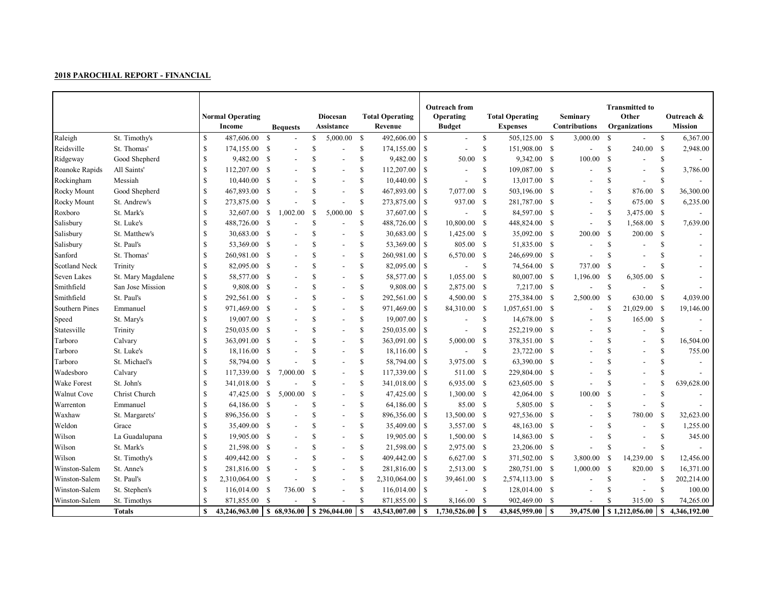|                      |                    |               | <b>Normal Operating</b><br>Income              |               | <b>Bequests</b> |               | Diocesan<br>Assistance   |               | <b>Total Operating</b><br>Revenue |               | <b>Outreach from</b><br>Operating<br><b>Budget</b> |               | <b>Total Operating</b><br><b>Expenses</b> |      | Seminary<br>Contributions |               | <b>Transmitted to</b><br>Other<br>Organizations |               | Outreach &<br><b>Mission</b> |
|----------------------|--------------------|---------------|------------------------------------------------|---------------|-----------------|---------------|--------------------------|---------------|-----------------------------------|---------------|----------------------------------------------------|---------------|-------------------------------------------|------|---------------------------|---------------|-------------------------------------------------|---------------|------------------------------|
| Raleigh              | St. Timothy's      | <sup>\$</sup> | 487,606.00                                     | <sup>S</sup>  |                 | \$            | 5,000.00                 | <sup>\$</sup> | 492,606.00                        | -S            | $\overline{\phantom{a}}$                           | \$            | 505,125.00                                | - \$ | 3,000.00                  | \$            |                                                 | \$            | 6,367.00                     |
| Reidsville           | St. Thomas'        | \$.           | 174,155.00 \$                                  |               |                 | <sup>\$</sup> | $\overline{\phantom{a}}$ | \$            | 174,155.00                        | <b>S</b>      | $\overline{\phantom{a}}$                           | \$            | 151,908.00 \$                             |      |                           | <sup>\$</sup> | 240.00                                          | - S           | 2,948.00                     |
| Ridgeway             | Good Shepherd      | \$.           | 9,482.00                                       | <sup>S</sup>  |                 | <sup>\$</sup> |                          | <sup>\$</sup> | 9,482.00                          | <b>S</b>      | 50.00                                              | -S            | 9,342.00                                  | - S  | 100.00                    | -S            |                                                 | S             |                              |
| Roanoke Rapids       | All Saints'        | S             | 112,207.00                                     | -S            |                 | <sup>\$</sup> | $\overline{\phantom{a}}$ | $\mathbb{S}$  | 112,207.00                        | -S            | $\overline{a}$                                     | \$            | 109,087.00 \$                             |      | $\overline{a}$            | <sup>\$</sup> | $\blacksquare$                                  | \$            | 3,786.00                     |
| Rockingham           | Messiah            | \$            | 10,440.00                                      | - S           |                 | $\mathbf S$   | $\overline{a}$           | $\mathbb{S}$  | 10,440.00                         | <sup>\$</sup> |                                                    | \$            | 13,017.00                                 | -S   |                           | \$            | $\blacksquare$                                  | $\mathbb{S}$  |                              |
| <b>Rocky Mount</b>   | Good Shepherd      | \$.           | 467,893.00                                     | - S           |                 | $\mathbf S$   | $\overline{\phantom{a}}$ | $\mathbb{S}$  | 467,893.00                        | <sup>\$</sup> | 7,077.00                                           | -S            | 503,196.00                                | -S   | $\overline{a}$            | \$.           | 876.00                                          | - S           | 36,300.00                    |
| Rocky Mount          | St. Andrew's       |               | 273,875.00                                     | <b>S</b>      |                 | <sup>\$</sup> | $\overline{\phantom{a}}$ | $\mathbb{S}$  | 273,875.00                        | <sup>S</sup>  | 937.00                                             | $\mathbf s$   | 281,787.00                                | -S   |                           | <sup>\$</sup> | 675.00                                          | - \$          | 6,235.00                     |
| Roxboro              | St. Mark's         | \$            | 32,607.00                                      | - \$          | 1,002.00        | <sup>\$</sup> | 5,000.00                 | <sup>\$</sup> | 37,607.00                         | $\mathbb{S}$  |                                                    | \$            | 84,597.00                                 | -S   | $\overline{a}$            | <sup>\$</sup> | 3,475.00 \$                                     |               |                              |
| Salisbury            | St. Luke's         | \$            | 488,726.00 \$                                  |               |                 | <sup>S</sup>  |                          | \$            | 488,726.00                        | $\mathbb{S}$  | 10,800.00                                          | - S           | 448,824.00 \$                             |      | $\overline{\phantom{a}}$  | <sup>S</sup>  | 1,568.00 \$                                     |               | 7,639.00                     |
| Salisbury            | St. Matthew's      | S             | 30,683.00 \$                                   |               |                 | <sup>\$</sup> |                          | \$            | 30,683.00                         | $\mathbb{S}$  | 1,425.00 \$                                        |               | 35,092.00 \$                              |      | 200.00                    | -S            | 200.00                                          | $\mathbb{S}$  |                              |
| Salisbury            | St. Paul's         | \$.           | 53,369.00 \$                                   |               |                 | <sup>\$</sup> |                          | $\mathbb{S}$  | 53,369.00                         | <sup>S</sup>  | 805.00 \$                                          |               | 51,835.00 \$                              |      |                           | \$.           |                                                 | <b>S</b>      |                              |
| Sanford              | St. Thomas'        | S             | 260,981.00                                     | <b>S</b>      |                 | <sup>\$</sup> | $\overline{a}$           | \$            | 260,981.00                        | <sup>\$</sup> | 6,570.00 \$                                        |               | 246,699.00 \$                             |      | $\overline{\phantom{a}}$  | \$            |                                                 | \$.           |                              |
| <b>Scotland Neck</b> | Trinity            | S             | 82,095.00                                      | <sup>S</sup>  |                 | $\mathbf S$   | $\overline{a}$           | $\mathbb{S}$  | 82,095.00                         | $\mathbb{S}$  | $\blacksquare$                                     | $\mathbb{S}$  | 74,564.00 \$                              |      | 737.00                    | -S            |                                                 | <b>S</b>      |                              |
| Seven Lakes          | St. Mary Magdalene | S             | 58,577.00                                      | - \$          |                 | $\mathbf S$   | $\overline{\phantom{a}}$ | $\mathbf S$   | 58,577.00                         | <sup>S</sup>  | $1,055.00$ \$                                      |               | 80,007.00 \$                              |      | 1,196.00                  | -S            | 6,305.00                                        | <sup>\$</sup> |                              |
| Smithfield           | San Jose Mission   |               | 9,808.00 \$                                    |               |                 | $\mathcal{S}$ | $\blacksquare$           | $\mathbb{S}$  | 9,808.00                          | $\mathbb{S}$  | 2,875.00 \$                                        |               | 7,217.00 \$                               |      |                           | $\mathbb{S}$  |                                                 | \$            |                              |
| Smithfield           | St. Paul's         | \$            | 292,561.00 \$                                  |               |                 | <sup>\$</sup> | $\overline{a}$           | S             | 292,561.00                        | <sup>\$</sup> | $4,500.00$ \$                                      |               | 275,384.00 \$                             |      | 2,500.00                  | <sup>S</sup>  | 630.00                                          | - S           | 4,039.00                     |
| Southern Pines       | Emmanuel           | S             | 971,469.00 \$                                  |               |                 | $\mathcal{S}$ | $\blacksquare$           | \$            | 971,469.00                        | \$            | 84,310.00 \$                                       |               | 1,057,651.00 \$                           |      | $\overline{\phantom{a}}$  | \$            | 21,029.00 \$                                    |               | 19,146.00                    |
| Speed                | St. Mary's         | S             | 19,007.00 \$                                   |               |                 | <sup>\$</sup> | $\overline{\phantom{a}}$ | \$            | 19,007.00                         | $\mathbb{S}$  |                                                    | \$            | 14,678.00 \$                              |      |                           | <sup>\$</sup> | 165.00 S                                        |               |                              |
| Statesville          | Trinity            | S             | 250,035.00                                     | - S           |                 | <sup>\$</sup> |                          | $\mathbb{S}$  | 250,035.00                        | -S            |                                                    | S             | 252,219.00                                | -S   |                           | \$.           |                                                 | S             |                              |
| Tarboro              | Calvary            | S             | 363,091.00                                     | - \$          |                 | <sup>\$</sup> | $\overline{a}$           | \$            | 363,091.00                        | <sup>S</sup>  | 5,000.00                                           | -S            | 378,351.00                                | -S   |                           | \$.           | $\overline{\phantom{a}}$                        | S             | 16,504.00                    |
| Tarboro              | St. Luke's         |               | 18,116.00                                      | - S           |                 | $\mathbf S$   | $\overline{\phantom{a}}$ | $\mathbf S$   | 18,116.00                         | <sup>S</sup>  | $\overline{a}$                                     | <sup>\$</sup> | 23,722.00                                 | -S   |                           |               | $\overline{a}$                                  | \$.           | 755.00                       |
| Tarboro              | St. Michael's      | S             | 58,794.00                                      | -S            |                 | $\mathbf S$   | $\overline{\phantom{a}}$ | $\mathbb{S}$  | 58,794.00                         | S             | 3,975.00 \$                                        |               | 63,390.00                                 | -S   |                           |               |                                                 | <b>S</b>      |                              |
| Wadesboro            | Calvary            | \$            | 117,339.00                                     | <sup>\$</sup> | 7,000.00        | \$            | $\overline{\phantom{a}}$ | $\mathbb{S}$  | 117,339.00                        | <sup>\$</sup> | 511.00 \$                                          |               | 229,804.00                                | -S   |                           |               |                                                 | S             |                              |
| Wake Forest          | St. John's         | \$            | 341,018.00                                     | - S           |                 | <sup>\$</sup> | $\overline{a}$           | \$            | 341,018.00                        | <sup>\$</sup> | $6,935.00$ \$                                      |               | 623,605.00 \$                             |      |                           | S             |                                                 | S             | 639,628.00                   |
| Walnut Cove          | Christ Church      | \$            | 47,425.00 \$                                   |               | 5,000.00        | S             |                          | \$            | 47,425.00                         | $\mathbb{S}$  | $1,300.00$ \$                                      |               | 42,064.00 \$                              |      | 100.00                    | -S            |                                                 | S             |                              |
| Warrenton            | Emmanuel           | S             | 64,186.00 \$                                   |               |                 | <sup>\$</sup> | $\overline{\phantom{a}}$ | \$            | 64,186.00                         | <sup>\$</sup> | 85.00 \$                                           |               | 5,805.00 \$                               |      |                           | <sup>\$</sup> |                                                 | S             |                              |
| Waxhaw               | St. Margarets'     | \$.           | 896,356.00 \$                                  |               |                 | <sup>\$</sup> | $\overline{\phantom{a}}$ | \$            | 896,356.00                        | <sup>\$</sup> | 13,500.00 \$                                       |               | 927,536.00                                | -S   |                           | \$            | 780.00                                          | -S            | 32,623.00                    |
| Weldon               | Grace              | S             | 35,409.00                                      | - \$          |                 | <sup>\$</sup> |                          | $\mathbb{S}$  | 35,409.00                         | <sup>\$</sup> | 3,557.00 \$                                        |               | 48,163.00                                 | -S   |                           | \$.           | $\overline{\phantom{a}}$                        | <b>S</b>      | 1,255.00                     |
| Wilson               | La Guadalupana     |               | 19,905.00                                      | - \$          |                 | <sup>\$</sup> | $\overline{\phantom{a}}$ | $\mathbf S$   | 19,905.00                         | $\mathbb{S}$  | $1,500.00$ \$                                      |               | 14,863.00                                 | - S  |                           | S             |                                                 | <sup>\$</sup> | 345.00                       |
| Wilson               | St. Mark's         | \$.           | 21,598.00 \$                                   |               |                 | $\mathbf S$   | $\overline{a}$           | $\mathbb{S}$  | 21,598.00                         | <sup>S</sup>  | 2,975.00 \$                                        |               | 23,206.00                                 | - S  |                           | <sup>\$</sup> |                                                 | \$.           |                              |
| Wilson               | St. Timothy's      |               | 409,442.00 \$                                  |               |                 | <sup>\$</sup> | $\overline{\phantom{a}}$ | $\mathbb{S}$  | 409,442.00                        | $\mathbb{S}$  | 6,627.00 \$                                        |               | 371,502.00 \$                             |      | 3,800.00                  | -S            | 14,239.00                                       | -S            | 12,456.00                    |
| Winston-Salem        | St. Anne's         | \$.           | 281,816.00 \$                                  |               |                 | $\mathbf S$   | $\overline{a}$           | $\mathbf S$   | 281,816.00                        | $\mathbb{S}$  | 2,513.00 \$                                        |               | 280,751.00 \$                             |      | 1,000.00                  | - S           | 820.00                                          | - S           | 16,371.00                    |
| Winston-Salem        | St. Paul's         | S             | 2,310,064.00 \$                                |               |                 | <sup>\$</sup> |                          | <sup>\$</sup> | 2,310,064.00                      | $\mathbb{S}$  | 39,461.00 \$                                       |               | 2,574,113.00 \$                           |      |                           | S             | $\overline{\phantom{a}}$                        | S             | 202,214.00                   |
| Winston-Salem        | St. Stephen's      | S             | 116,014.00 \$                                  |               | 736.00          | <sup>\$</sup> |                          | $\mathbb{S}$  | 116,014.00                        | <sup>\$</sup> |                                                    | <sup>\$</sup> | 128,014.00 \$                             |      |                           | \$            |                                                 | <sup>\$</sup> | 100.00                       |
| Winston-Salem        | St. Timothys       |               | 871,855.00                                     | -S            |                 | <b>S</b>      |                          | $\mathbf S$   | 871,855.00                        | -S            | 8,166.00                                           | - \$          | 902,469.00                                | - S  |                           |               | 315.00                                          | -S            | 74,265.00                    |
|                      | <b>Totals</b>      | $\mathbf S$   | $43,246,963.00$ \ \$ 68,936.00 \ \$ 296,044.00 |               |                 |               |                          | $\mathbf{s}$  | 43,543,007.00                     | S             | 1,730,526.00                                       | -S            | 43,845,959.00                             | l \$ | 39,475.00                 |               | \$1,212,056.00                                  | $\mathbf{s}$  | 4,346,192.00                 |